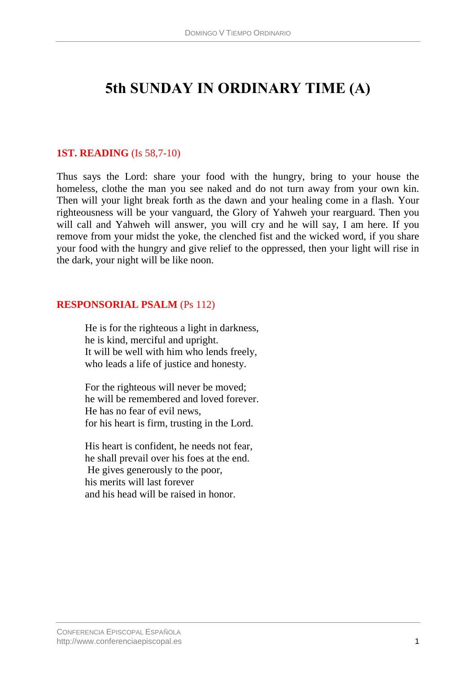# **5th SUNDAY IN ORDINARY TIME (A)**

## **1ST. READING** (Is 58,7-10)

Thus says the Lord: share your food with the hungry, bring to your house the homeless, clothe the man you see naked and do not turn away from your own kin. Then will your light break forth as the dawn and your healing come in a flash. Your righteousness will be your vanguard, the Glory of Yahweh your rearguard. Then you will call and Yahweh will answer, you will cry and he will say, I am here. If you remove from your midst the yoke, the clenched fist and the wicked word, if you share your food with the hungry and give relief to the oppressed, then your light will rise in the dark, your night will be like noon.

## **RESPONSORIAL PSALM** (Ps 112)

He is for the righteous a light in darkness, he is kind, merciful and upright. It will be well with him who lends freely, who leads a life of justice and honesty.

For the righteous will never be moved; he will be remembered and loved forever. He has no fear of evil news, for his heart is firm, trusting in the Lord.

His heart is confident, he needs not fear, he shall prevail over his foes at the end. He gives generously to the poor, his merits will last forever and his head will be raised in honor.